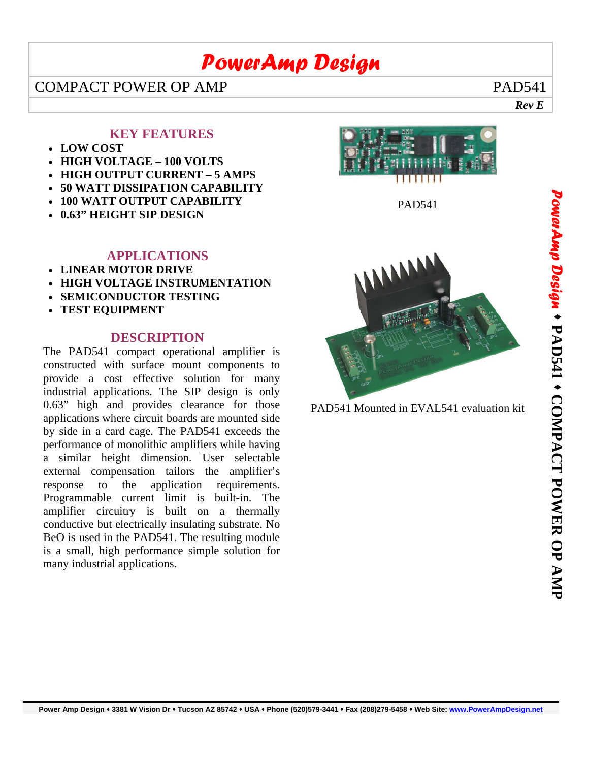# *PowerAmp Design*

 *Rev E*

### COMPACT POWER OP AMP PAD541

#### **KEY FEATURES**

- **LOW COST**
- **HIGH VOLTAGE 100 VOLTS**
- **HIGH OUTPUT CURRENT 5 AMPS**
- **50 WATT DISSIPATION CAPABILITY**
- **100 WATT OUTPUT CAPABILITY**
- **0.63" HEIGHT SIP DESIGN**

#### **APPLICATIONS**

- **LINEAR MOTOR DRIVE**
- **HIGH VOLTAGE INSTRUMENTATION**
- **SEMICONDUCTOR TESTING**
- **TEST EQUIPMENT**

#### **DESCRIPTION**

The PAD541 compact operational amplifier is constructed with surface mount components to provide a cost effective solution for many industrial applications. The SIP design is only 0.63" high and provides clearance for those applications where circuit boards are mounted side by side in a card cage. The PAD541 exceeds the performance of monolithic amplifiers while having a similar height dimension. User selectable external compensation tailors the amplifier's response to the application requirements. Programmable current limit is built-in. The amplifier circuitry is built on a thermally conductive but electrically insulating substrate. No BeO is used in the PAD541. The resulting module is a small, high performance simple solution for many industrial applications.







PAD541 Mounted in EVAL541 evaluation kit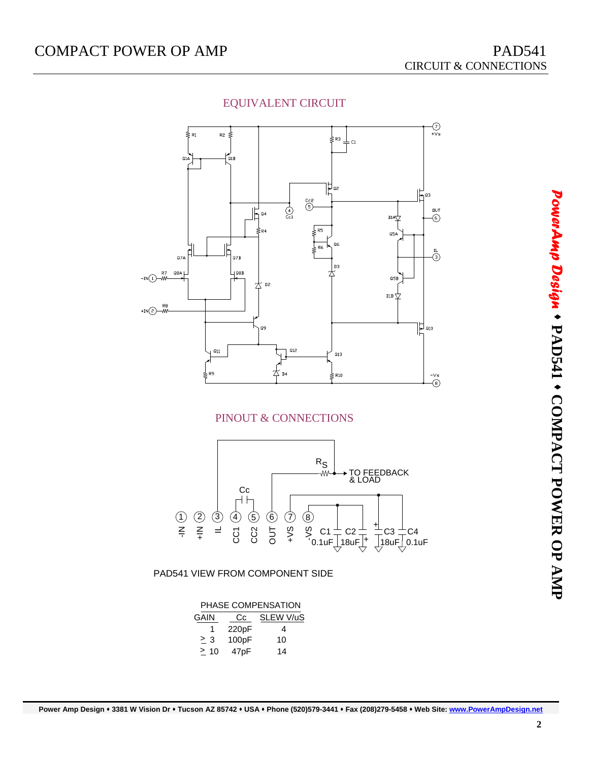

#### EQUIVALENT CIRCUIT

#### PINOUT & CONNECTIONS



| PHASE COMPENSATION |       |           |  |  |  |  |
|--------------------|-------|-----------|--|--|--|--|
| GAIN               | Cc    | SLEW V/uS |  |  |  |  |
| 1                  | 220pF | 4         |  |  |  |  |
| > 3                | 100pF | 10        |  |  |  |  |
| >10                | 47pF  | 14        |  |  |  |  |

*PowerAmp Design*  $\bullet$ **PAD541**  ٠  **COMPACT POWER OP AMP**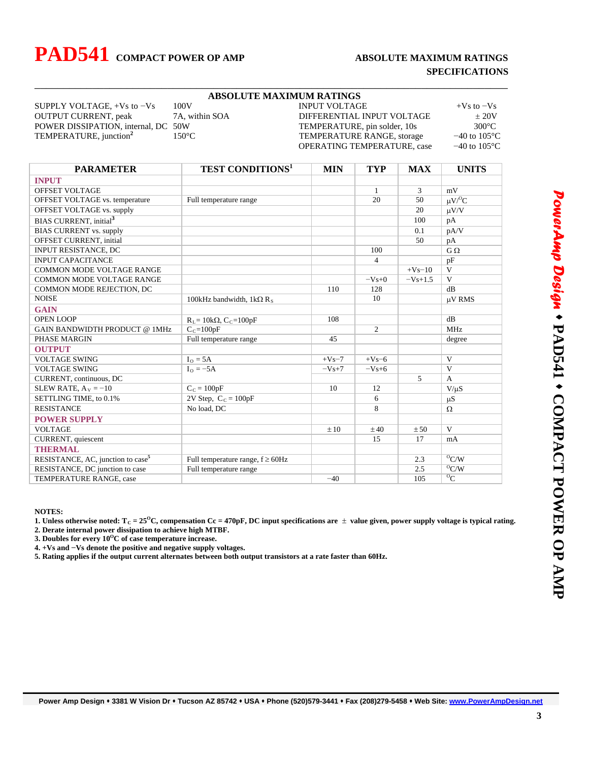# **PAD541 COMPACT POWER OP AMP ABSOLUTE MAXIMUM RATINGS**

# **SPECIFICATIONS**

|                                                                                       | <b>ABSOLUTE MAXIMUM RATINGS</b>                                                    |            |                          |                          |                                                       |
|---------------------------------------------------------------------------------------|------------------------------------------------------------------------------------|------------|--------------------------|--------------------------|-------------------------------------------------------|
| 100V<br>SUPPLY VOLTAGE, $+Vs$ to $-Vs$                                                | <b>INPUT VOLTAGE</b><br>DIFFERENTIAL INPUT VOLTAGE<br>TEMPERATURE, pin solder, 10s |            |                          | $+Vs$ to $-Vs$           |                                                       |
| <b>OUTPUT CURRENT</b> , peak<br>7A, within SOA<br>POWER DISSIPATION, internal, DC 50W |                                                                                    |            |                          | ± 20V<br>$300^{\circ}$ C |                                                       |
|                                                                                       |                                                                                    |            |                          |                          | TEMPERATURE, junction <sup>2</sup><br>$150^{\circ}$ C |
| OPERATING TEMPERATURE, case                                                           |                                                                                    |            | $-40$ to $105^{\circ}$ C |                          |                                                       |
|                                                                                       |                                                                                    |            |                          |                          |                                                       |
| <b>PARAMETER</b>                                                                      | <b>TEST CONDITIONS<sup>1</sup></b>                                                 | <b>MIN</b> | <b>TYP</b>               | <b>MAX</b>               | <b>UNITS</b>                                          |
| <b>INPUT</b>                                                                          |                                                                                    |            |                          |                          |                                                       |
| OFFSET VOLTAGE                                                                        |                                                                                    |            | $\mathbf{1}$             | 3                        | mV                                                    |
| OFFSET VOLTAGE vs. temperature                                                        | Full temperature range                                                             |            | 20                       | 50                       | $\mu V/C$                                             |
| OFFSET VOLTAGE vs. supply                                                             |                                                                                    |            |                          | 20                       | $\mu V/V$                                             |
| BIAS CURRENT, initial <sup>3</sup>                                                    |                                                                                    |            |                          | 100                      | pA                                                    |
| <b>BIAS CURRENT vs. supply</b>                                                        |                                                                                    |            |                          | 0.1                      | pA/V                                                  |
| OFFSET CURRENT, initial                                                               |                                                                                    |            |                          | 50                       | pA                                                    |
| <b>INPUT RESISTANCE, DC</b>                                                           |                                                                                    |            | 100                      |                          | $G \Omega$                                            |
| <b>INPUT CAPACITANCE</b>                                                              |                                                                                    |            | $\overline{4}$           |                          | pF                                                    |
| <b>COMMON MODE VOLTAGE RANGE</b>                                                      |                                                                                    |            |                          | $+Vs-10$                 | V                                                     |
| COMMON MODE VOLTAGE RANGE                                                             |                                                                                    |            | $-Vs+0$                  | $-Vs+1.5$                | $\mathbf{V}$                                          |
| COMMON MODE REJECTION, DC                                                             |                                                                                    | 110        | 128                      |                          | dB                                                    |
| <b>NOISE</b>                                                                          | 100kHz bandwidth, 1k $\Omega$ R <sub>s</sub>                                       |            | 10                       |                          | μV RMS                                                |
| <b>GAIN</b>                                                                           |                                                                                    |            |                          |                          |                                                       |
| <b>OPEN LOOP</b>                                                                      | $R_L$ = 10k $\Omega$ , C <sub>C</sub> = 100pF                                      | 108        |                          |                          | dB                                                    |
| GAIN BANDWIDTH PRODUCT @ 1MHz                                                         | $C_c = 100pF$                                                                      |            | $\overline{2}$           |                          | <b>MHz</b>                                            |
| PHASE MARGIN                                                                          | Full temperature range                                                             | 45         |                          |                          | degree                                                |
| <b>OUTPUT</b>                                                                         |                                                                                    |            |                          |                          |                                                       |
| <b>VOLTAGE SWING</b>                                                                  | $Io = 5A$                                                                          | $+Vs-7$    | $+Vs-6$                  |                          | V                                                     |
| <b>VOLTAGE SWING</b>                                                                  | $I_{\Omega} = -5A$                                                                 | $-Vs+7$    | $-Vs+6$                  |                          | $\mathbf{V}$                                          |
| CURRENT, continuous, DC                                                               |                                                                                    |            |                          | 5                        | A                                                     |
| SLEW RATE, $A_V = -10$                                                                | $C_C = 100pF$                                                                      | 10         | 12                       |                          | $V/\mu S$                                             |
| SETTLING TIME, to 0.1%                                                                | $2V$ Step, $C_C = 100pF$                                                           |            | 6                        |                          | μS                                                    |
| <b>RESISTANCE</b>                                                                     | No load, DC                                                                        |            | 8                        |                          | Ω                                                     |
| <b>POWER SUPPLY</b>                                                                   |                                                                                    |            |                          |                          |                                                       |
| <b>VOLTAGE</b>                                                                        |                                                                                    | ±10        | ±40                      | ± 50                     | V                                                     |
| CURRENT, quiescent                                                                    |                                                                                    |            | 15                       | 17                       | mA                                                    |
| <b>THERMAL</b>                                                                        |                                                                                    |            |                          |                          |                                                       |
| RESISTANCE, AC, junction to case <sup>5</sup>                                         | Full temperature range, $f \geq 60$ Hz                                             |            |                          | 2.3                      | $\overline{^0C/W}$                                    |
| RESISTANCE, DC junction to case                                                       | Full temperature range                                                             |            |                          | 2.5                      | O <sub>C/W</sub>                                      |
| TEMPERATURE RANGE, case                                                               |                                                                                    | $-40$      |                          | 105                      | $^{0}C$                                               |

\_\_\_\_\_\_\_\_\_\_\_\_\_\_\_\_\_\_\_\_\_\_\_\_\_\_\_\_\_\_\_\_\_\_\_\_\_\_\_\_\_\_\_\_\_\_\_\_\_\_\_\_\_\_\_\_\_\_\_\_\_\_\_\_\_\_\_\_\_\_\_\_\_\_\_\_\_\_\_\_\_\_

**NOTES:** 

**1.** Unless otherwise noted:  $T_c = 25^\circ C$ , compensation  $Cc = 470pF$ , DC input specifications are  $\pm$  value given, power supply voltage is typical rating.

**2. Derate internal power dissipation to achieve high MTBF.** 

3. Doubles for every  $10^{\circ}$ C of case temperature increase.

**4. +Vs and −Vs denote the positive and negative supply voltages.** 

**5. Rating applies if the output current alternates between both output transistors at a rate faster than 60Hz.**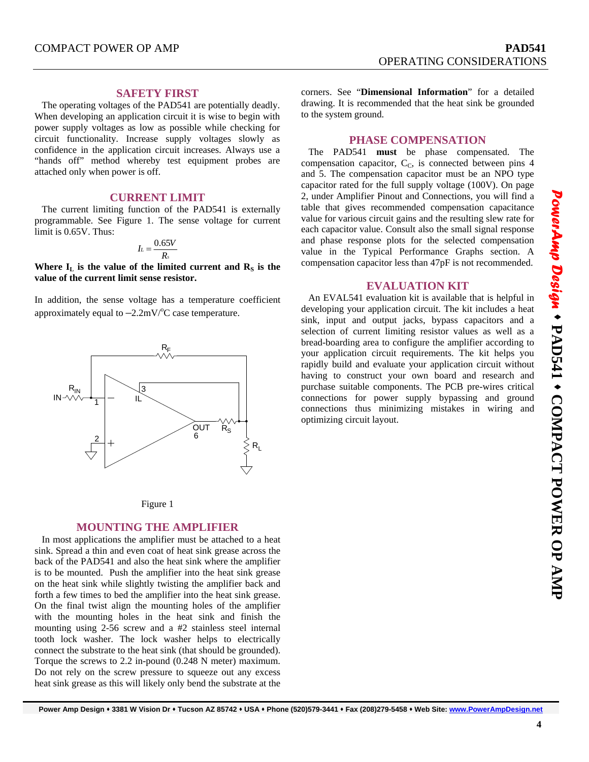#### **SAFETY FIRST**

 The operating voltages of the PAD541 are potentially deadly. When developing an application circuit it is wise to begin with power supply voltages as low as possible while checking for circuit functionality. Increase supply voltages slowly as confidence in the application circuit increases. Always use a "hands off" method whereby test equipment probes are attached only when power is off.

#### **CURRENT LIMIT**

 The current limiting function of the PAD541 is externally programmable. See Figure 1. The sense voltage for current limit is 0.65V. Thus:

$$
I_L=\frac{0.65V}{R_s}
$$

Where  $I_L$  is the value of the limited current and  $R_S$  is the **value of the current limit sense resistor.** 

In addition, the sense voltage has a temperature coefficient approximately equal to  $-2.2$ mV/ $\rm{^oC}$  case temperature.





#### **MOUNTING THE AMPLIFIER**

 In most applications the amplifier must be attached to a heat sink. Spread a thin and even coat of heat sink grease across the back of the PAD541 and also the heat sink where the amplifier is to be mounted. Push the amplifier into the heat sink grease on the heat sink while slightly twisting the amplifier back and forth a few times to bed the amplifier into the heat sink grease. On the final twist align the mounting holes of the amplifier with the mounting holes in the heat sink and finish the mounting using 2-56 screw and a #2 stainless steel internal tooth lock washer. The lock washer helps to electrically connect the substrate to the heat sink (that should be grounded). Torque the screws to 2.2 in-pound (0.248 N meter) maximum. Do not rely on the screw pressure to squeeze out any excess heat sink grease as this will likely only bend the substrate at the

corners. See "**Dimensional Information**" for a detailed drawing. It is recommended that the heat sink be grounded to the system ground.

#### **PHASE COMPENSATION**

 The PAD541 **must** be phase compensated. The compensation capacitor,  $C<sub>C</sub>$ , is connected between pins 4 and 5. The compensation capacitor must be an NPO type capacitor rated for the full supply voltage (100V). On page 2, under Amplifier Pinout and Connections, you will find a table that gives recommended compensation capacitance value for various circuit gains and the resulting slew rate for each capacitor value. Consult also the small signal response and phase response plots for the selected compensation value in the Typical Performance Graphs section. A compensation capacitor less than 47pF is not recommended.

#### **EVALUATION KIT**

 An EVAL541 evaluation kit is available that is helpful in developing your application circuit. The kit includes a heat sink, input and output jacks, bypass capacitors and a selection of current limiting resistor values as well as a bread-boarding area to configure the amplifier according to your application circuit requirements. The kit helps you rapidly build and evaluate your application circuit without having to construct your own board and research and purchase suitable components. The PCB pre-wires critical connections for power supply bypassing and ground connections thus minimizing mistakes in wiring and optimizing circuit layout.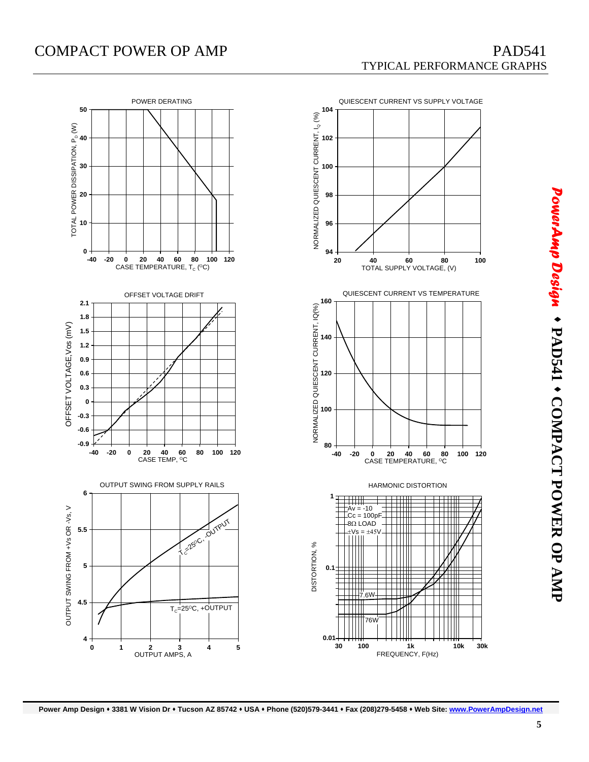## COMPACT POWER OP AMP PAD541

# TYPICAL PERFORMANCE GRAPHS



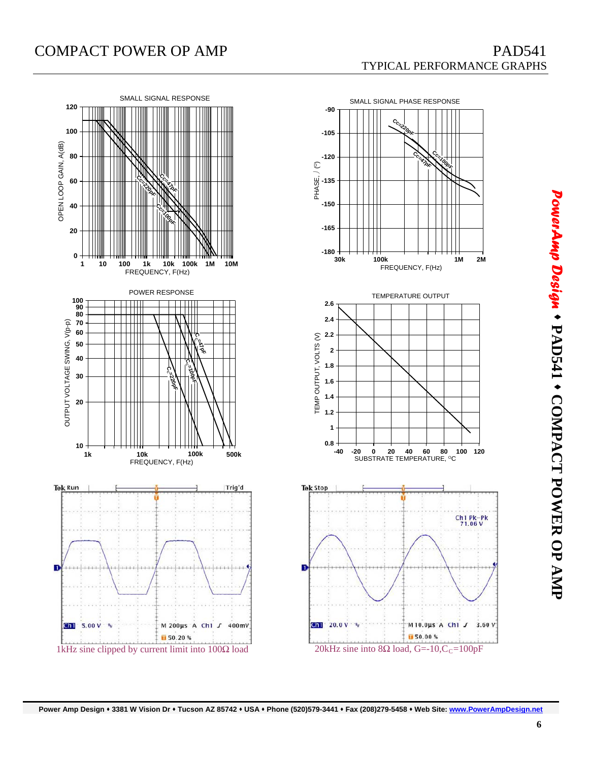

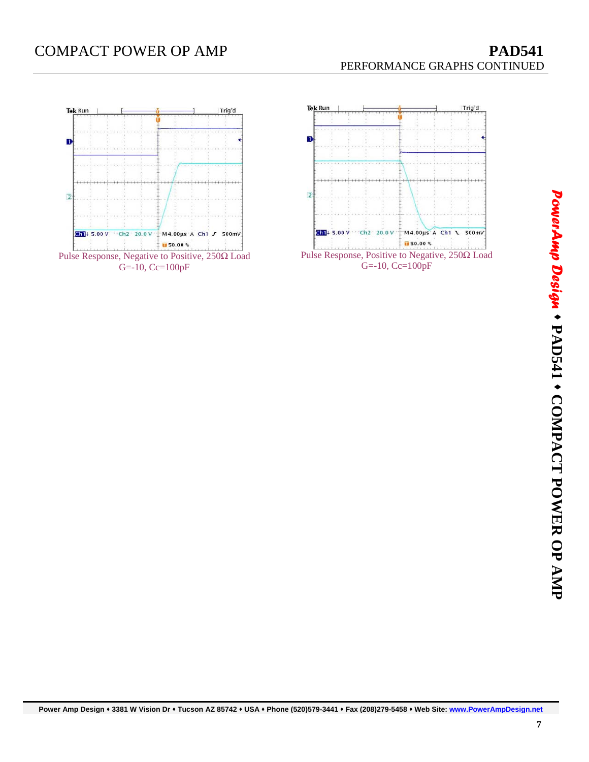## **COMPACT POWER OP AMP PAD541**



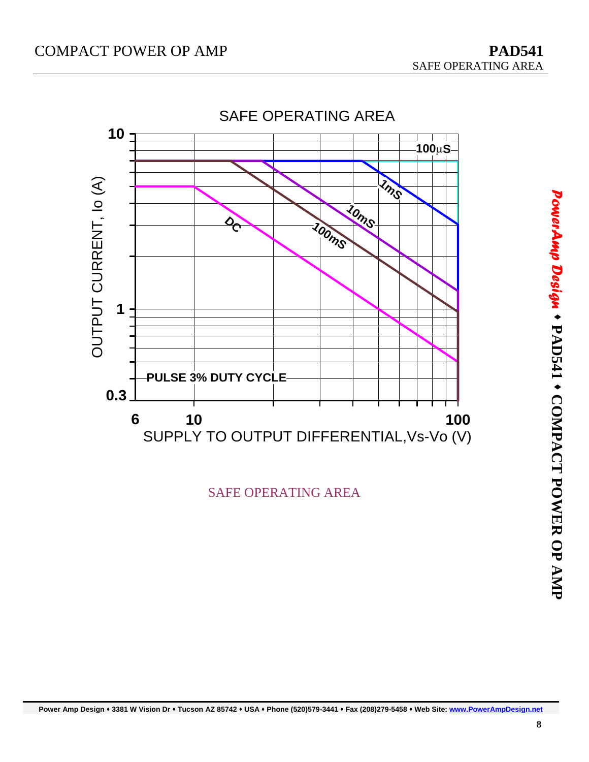

SAFE OPERATING AREA